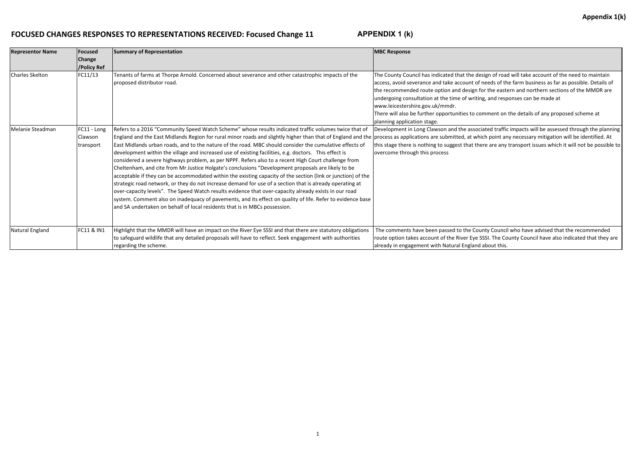## **FOCUSED CHANGES RESPONSES TO REPRESENTATIONS RECEIVED: Focused Change 11**

| <b>Representor Name</b> | <b>Focused</b>                      | <b>Summary of Representation</b>                                                                                                                                                                                                                                                                                                                                                                                                                                                                                                                                                                                                                                                                                                                                                                                                                                                                                                                                                                                                                                                                                                                                                                                                      | <b>MBC Response</b>                                                                                                                                                                                                                                                                                           |
|-------------------------|-------------------------------------|---------------------------------------------------------------------------------------------------------------------------------------------------------------------------------------------------------------------------------------------------------------------------------------------------------------------------------------------------------------------------------------------------------------------------------------------------------------------------------------------------------------------------------------------------------------------------------------------------------------------------------------------------------------------------------------------------------------------------------------------------------------------------------------------------------------------------------------------------------------------------------------------------------------------------------------------------------------------------------------------------------------------------------------------------------------------------------------------------------------------------------------------------------------------------------------------------------------------------------------|---------------------------------------------------------------------------------------------------------------------------------------------------------------------------------------------------------------------------------------------------------------------------------------------------------------|
|                         | Change<br>/Policy Ref               |                                                                                                                                                                                                                                                                                                                                                                                                                                                                                                                                                                                                                                                                                                                                                                                                                                                                                                                                                                                                                                                                                                                                                                                                                                       |                                                                                                                                                                                                                                                                                                               |
| Charles Skelton         | FC11/13                             | Tenants of farms at Thorpe Arnold. Concerned about severance and other catastrophic impacts of the<br>proposed distributor road.                                                                                                                                                                                                                                                                                                                                                                                                                                                                                                                                                                                                                                                                                                                                                                                                                                                                                                                                                                                                                                                                                                      | The County Council has indicated that the de<br>access, avoid severance and take account of<br>the recommended route option and design f<br>undergoing consultation at the time of writir<br>www.leicestershire.gov.uk/mmdr.<br>There will also be further opportunities to co<br>planning application stage. |
| Melanie Steadman        | FC11 - Long<br>Clawson<br>transport | Refers to a 2016 "Community Speed Watch Scheme" whose results indicated traffic volumes twice that of<br>England and the East Midlands Region for rural minor roads and slightly higher than that of England and the  process as applications are submitted, at wh<br>East Midlands urban roads, and to the nature of the road. MBC should consider the cumulative effects of<br>development within the village and increased use of existing facilities, e.g. doctors. This effect is<br>considered a severe highways problem, as per NPPF. Refers also to a recent High Court challenge from<br>Cheltenham, and cite from Mr Justice Holgate's conclusions "Development proposals are likely to be<br>acceptable if they can be accommodated within the existing capacity of the section (link or junction) of the<br>strategic road network, or they do not increase demand for use of a section that is already operating at<br>over-capacity levels". The Speed Watch results evidence that over-capacity already exists in our road<br>system. Comment also on inadequacy of pavements, and its effect on quality of life. Refer to evidence base<br>and SA undertaken on behalf of local residents that is in MBCs possession. | Development in Long Clawson and the assoc<br>this stage there is nothing to suggest that the<br>overcome through this process                                                                                                                                                                                 |
| Natural England         | FC11 & IN1                          | Highlight that the MMDR will have an impact on the River Eye SSSI and that there are statutory obligations<br>to safeguard wildlife that any detailed proposals will have to reflect. Seek engagement with authorities<br>regarding the scheme.                                                                                                                                                                                                                                                                                                                                                                                                                                                                                                                                                                                                                                                                                                                                                                                                                                                                                                                                                                                       | The comments have been passed to the Cou<br>route option takes account of the River Eye !<br>already in engagement with Natural England                                                                                                                                                                       |

esign of road will take account of the need to maintain meeds of the farm business as far as possible. Details of for the eastern and northern sections of the MMDR are ing, and responses can be made at

omment on the details of any proposed scheme at

ciated traffic impacts will be assessed through the planning hich point any necessary mitigation will be identified. At nere are any transport issues which it will not be possible to

unty Council who have advised that the recommended SSSI. The County Council have also indicated that they are l about this.

**APPENDIX 1 (k)**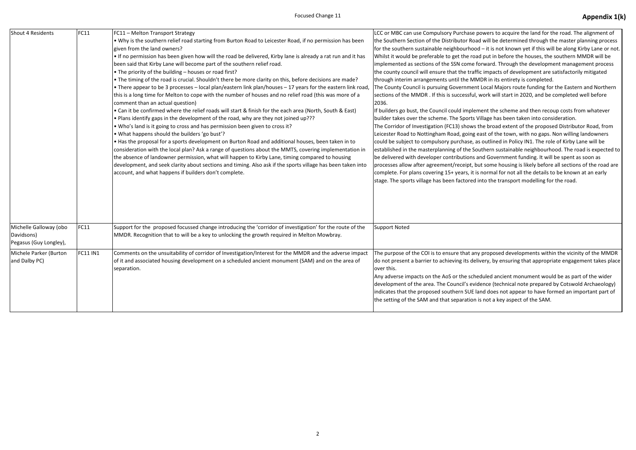| <b>Shout 4 Residents</b>                                       | <b>FC11</b>     | FC11 - Melton Transport Strategy<br>. Why is the southern relief road starting from Burton Road to Leicester Road, if no permission has been<br>given from the land owners?<br>If no permission has been given how will the road be delivered, Kirby lane is already a rat run and it has<br>been said that Kirby Lane will become part of the southern relief road.<br>. The priority of the building - houses or road first?                                                                                                                                                                                                                                                                                                                                                                                                                                                                                                                                                                                                                                                                                                                                                                         | LCC or MBC can use Compulsory Purchase<br>the Southern Section of the Distributor Ro<br>for the southern sustainable neighbourhoo<br>Whilst it would be preferable to get the ro<br>implemented as sections of the SSN come<br>the county council will ensure that the tra-                                                                                                                                                                                                                                                                                                                                          |  |
|----------------------------------------------------------------|-----------------|--------------------------------------------------------------------------------------------------------------------------------------------------------------------------------------------------------------------------------------------------------------------------------------------------------------------------------------------------------------------------------------------------------------------------------------------------------------------------------------------------------------------------------------------------------------------------------------------------------------------------------------------------------------------------------------------------------------------------------------------------------------------------------------------------------------------------------------------------------------------------------------------------------------------------------------------------------------------------------------------------------------------------------------------------------------------------------------------------------------------------------------------------------------------------------------------------------|----------------------------------------------------------------------------------------------------------------------------------------------------------------------------------------------------------------------------------------------------------------------------------------------------------------------------------------------------------------------------------------------------------------------------------------------------------------------------------------------------------------------------------------------------------------------------------------------------------------------|--|
|                                                                |                 | . The timing of the road is crucial. Shouldn't there be more clarity on this, before decisions are made?<br>• There appear to be 3 processes – local plan/eastern link plan/houses – 17 years for the eastern link road,<br>this is a long time for Melton to cope with the number of houses and no relief road (this was more of a<br>comment than an actual question)<br>• Can it be confirmed where the relief roads will start & finish for the each area (North, South & East)<br>• Plans identify gaps in the development of the road, why are they not joined up???<br>. Who's land is it going to cross and has permission been given to cross it?<br>. What happens should the builders 'go bust'?<br>. Has the proposal for a sports development on Burton Road and additional houses, been taken in to<br>consideration with the local plan? Ask a range of questions about the MMTS, covering implementation in<br>the absence of landowner permission, what will happen to Kirby Lane, timing compared to housing<br>development, and seek clarity about sections and timing. Also ask if the sports village has been taken into<br>account, and what happens if builders don't complete. | through interim arrangements until the M<br>The County Council is pursuing Governmer<br>sections of the MMDR . If this is successful<br>2036.<br>If builders go bust, the Council could imple<br>builder takes over the scheme. The Sports<br>The Corridor of Investigation (FC13) shows<br>Leicester Road to Nottingham Road, going<br>could be subject to compulsory purchase,<br>established in the masterplanning of the S<br>be delivered with developer contributions<br>processes allow after agreement/receipt,<br>complete. For plans covering 15+ years, it<br>stage. The sports village has been factored |  |
| Michelle Galloway (obo<br>Davidsons)<br>Pegasus (Guy Longley), | FC11            | Support for the proposed focussed change introducing the 'corridor of investigation' for the route of the<br>MMDR. Recognition that to will be a key to unlocking the growth required in Melton Mowbray.                                                                                                                                                                                                                                                                                                                                                                                                                                                                                                                                                                                                                                                                                                                                                                                                                                                                                                                                                                                               | <b>Support Noted</b>                                                                                                                                                                                                                                                                                                                                                                                                                                                                                                                                                                                                 |  |
| Michele Parker (Burton<br>and Dalby PC)                        | <b>FC11 IN1</b> | Comments on the unsuitability of corridor of Investigation/Interest for the MMDR and the adverse impact<br>of it and associated housing development on a scheduled ancient monument (SAM) and on the area of<br>separation.                                                                                                                                                                                                                                                                                                                                                                                                                                                                                                                                                                                                                                                                                                                                                                                                                                                                                                                                                                            | The purpose of the COI is to ensure that a<br>do not present a barrier to achieving its de<br>over this.<br>Any adverse impacts on the AoS or the sch<br>development of the area. The Council's ev<br>indicates that the proposed southern SUE<br>the setting of the SAM and that separatior                                                                                                                                                                                                                                                                                                                         |  |

powers to acquire the land for the road. The alignment of ad will be determined through the master planning process od – it is not known yet if this will be along Kirby Lane or not. ad put in before the houses, the southern MMDR will be forward. Through the development management process ffic impacts of development are satisfactorily mitigated IMDR in its entirety is completed.

nt Local Majors route funding for the Eastern and Northern I, work will start in 2020, and be completed well before

ement the scheme and then recoup costs from whatever builder tas been taken into consideration.

the broad extent of the proposed Distributor Road, from east of the town, with no gaps. Non willing landowners as outlined in Policy IN1. The role of Kirby Lane will be iouthern sustainable neighbourhood. The road is expected to and Government funding. It will be spent as soon as but some housing is likely before all sections of the road are is normal for not all the details to be known at an early d into the transport modelling for the road.

ny proposed developments within the vicinity of the MMDR elivery, by ensuring that appropriate engagement takes place

neduled ancient monument would be as part of the wider vidence (technical note prepared by Cotswold Archaeology) land does not appear to have formed an important part of n is not a key aspect of the SAM.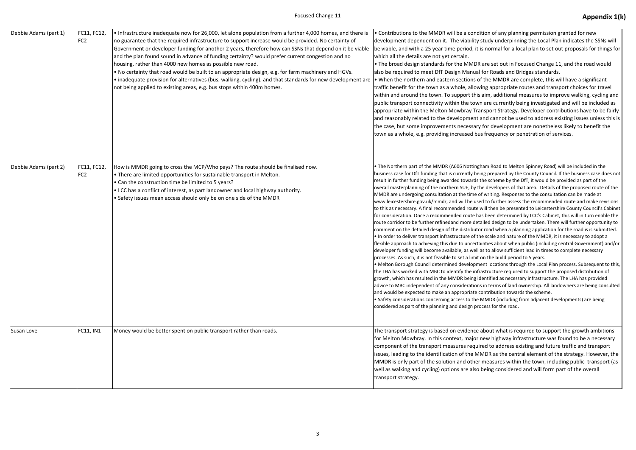| Debbie Adams (part 1) | FC11, FC12,<br>FC <sub>2</sub> | • Infrastructure inadequate now for 26,000, let alone population from a further 4,000 homes, and there is<br>no guarantee that the required infrastructure to support increase would be provided. No certainty of<br>Government or developer funding for another 2 years, therefore how can SSNs that depend on it be viable<br>and the plan found sound in advance of funding certainty? would prefer current congestion and no<br>housing, rather than 4000 new homes as possible new road.<br>. No certainty that road would be built to an appropriate design, e.g. for farm machinery and HGVs.<br>• inadequate provision for alternatives (bus, walking, cycling), and that standards for new development are<br>not being applied to existing areas, e.g. bus stops within 400m homes. | • Contributions to the MMDR will be a conder<br>development dependent on it. The viability<br>be viable, and with a 25 year time period, it<br>which all the details are not yet certain.<br>• The broad design standards for the MMD<br>also be required to meet DfT Design Manua<br>. When the northern and eastern sections of<br>traffic benefit for the town as a whole, alloy<br>within and around the town. To support thi<br>public transport connectivity within the tow<br>appropriate within the Melton Mowbray Tr<br>and reasonably related to the development<br>the case, but some improvements necessar<br>town as a whole, e.g. providing increased be                                                                                                                                                                                                                                                                                                                                                                                                                                         |
|-----------------------|--------------------------------|-----------------------------------------------------------------------------------------------------------------------------------------------------------------------------------------------------------------------------------------------------------------------------------------------------------------------------------------------------------------------------------------------------------------------------------------------------------------------------------------------------------------------------------------------------------------------------------------------------------------------------------------------------------------------------------------------------------------------------------------------------------------------------------------------|----------------------------------------------------------------------------------------------------------------------------------------------------------------------------------------------------------------------------------------------------------------------------------------------------------------------------------------------------------------------------------------------------------------------------------------------------------------------------------------------------------------------------------------------------------------------------------------------------------------------------------------------------------------------------------------------------------------------------------------------------------------------------------------------------------------------------------------------------------------------------------------------------------------------------------------------------------------------------------------------------------------------------------------------------------------------------------------------------------------|
| Debbie Adams (part 2) | FC11, FC12,<br>FC <sub>2</sub> | How is MMDR going to cross the MCP/Who pays? The route should be finalised now.<br>• There are limited opportunities for sustainable transport in Melton.<br>• Can the construction time be limited to 5 years?<br>. LCC has a conflict of interest, as part landowner and local highway authority.<br>• Safety issues mean access should only be on one side of the MMDR                                                                                                                                                                                                                                                                                                                                                                                                                     | . The Northern part of the MMDR (A606 Notting<br>business case for DfT funding that is currently be<br>result in further funding being awarded towards<br>overall masterplanning of the northern SUE, by t<br>MMDR are undergoing consultation at the time<br>www.leicestershire.gov.uk/mmdr, and will be us<br>to this as necessary. A final recommended route<br>for consideration. Once a recommended route h<br>route corridor to be further refinedand more de<br>comment on the detailed design of the distribut<br>. In order to deliver transport infrastructure of t<br>flexible approach to achieving this due to uncert<br>developer funding will become available, as well<br>processes. As such, it is not feasible to set a limit<br>• Melton Borough Council determined developn<br>the LHA has worked with MBC to identify the inf<br>growth, which has resulted in the MMDR being i<br>advice to MBC independent of any consideration<br>and would be expected to make an appropriate<br>• Safety considerations concerning access to the<br>considered as part of the planning and design pr |
| Susan Love            | <b>FC11, IN1</b>               | Money would be better spent on public transport rather than roads.                                                                                                                                                                                                                                                                                                                                                                                                                                                                                                                                                                                                                                                                                                                            | The transport strategy is based on evidence<br>for Melton Mowbray. In this context, major<br>component of the transport measures requ<br>issues, leading to the identification of the M<br>MMDR is only part of the solution and othe<br>well as walking and cycling) options are also<br>transport strategy.                                                                                                                                                                                                                                                                                                                                                                                                                                                                                                                                                                                                                                                                                                                                                                                                  |

dition of any planning permission granted for new getudy underpinning the Local Plan indicates the SSNs will is normal for a local plan to set out proposals for things for

R are set out in Focused Change 11, and the road would al for Roads and Bridges standards.

of the MMDR are complete, this will have a significant wing appropriate routes and transport choices for travel is aim, additional measures to improve walking, cycling and wn are currently being investigated and will be included as ransport Strategy. Developer contributions have to be fairly and cannot be used to address existing issues unless this is ry for development are nonetheless likely to benefit the tus frequency or penetration of services.

gham Road to Melton Spinney Road) will be included in the eing prepared by the County Council. If the business case does not the scheme by the DfT, it would be provided as part of the the developers of that area. Details of the proposed route of the of writing. Responses to the consultation can be made at sed to further assess the recommended route and make revisions will then be presented to Leicestershire County Council's Cabinet has been determined by LCC's Cabinet, this will in turn enable the etailed design to be undertaken. There will further opportunity to tor road when a planning application for the road is is submitted. the scale and nature of the MMDR, it is necessary to adopt a tainties about when public (including central Government) and/or l as to allow sufficient lead in times to complete necessary processes. As it is not to 5 years.

nent locations through the Local Plan process. Subsequent to this, frastructure required to support the proposed distribution of identified as necessary infrastructure. The LHA has provided ns in terms of land ownership. All landowners are being consulted contribution towards the scheme.

 $e$  MMDR (including from adjacent developments) are being rocess for the road.

about what is required to support the growth ambitions new highway infrastructure was found to be a necessary uired to address existing and future traffic and transport MMDR as the central element of the strategy. However, the er measures within the town, including public transport (as b being considered and will form part of the overall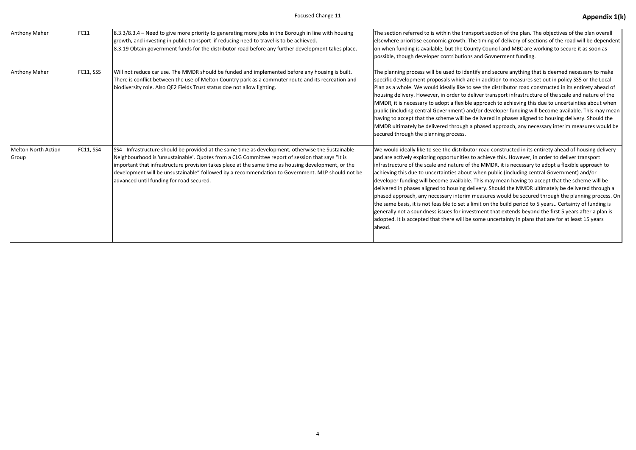| Anthony Maher                | FC11      | 8.3.3/8.3.4 – Need to give more priority to generating more jobs in the Borough in line with housing<br>growth, and investing in public transport if reducing need to travel is to be achieved.<br>8.3.19 Obtain government funds for the distributor road before any further development takes place.                                                                                                                                                        | The section referred to is within the transpo<br>elsewhere prioritise economic growth. The t<br>on when funding is available, but the County<br>possible, though developer contributions an                                                                                                                                                                                                                                                                                                                    |
|------------------------------|-----------|---------------------------------------------------------------------------------------------------------------------------------------------------------------------------------------------------------------------------------------------------------------------------------------------------------------------------------------------------------------------------------------------------------------------------------------------------------------|----------------------------------------------------------------------------------------------------------------------------------------------------------------------------------------------------------------------------------------------------------------------------------------------------------------------------------------------------------------------------------------------------------------------------------------------------------------------------------------------------------------|
| Anthony Maher                | FC11, SS5 | Will not reduce car use. The MMDR should be funded and implemented before any housing is built.<br>There is conflict between the use of Melton Country park as a commuter route and its recreation and<br>biodiversity role. Also QE2 Fields Trust status doe not allow lighting.                                                                                                                                                                             | The planning process will be used to identify<br>specific development proposals which are in<br>Plan as a whole. We would ideally like to see<br>housing delivery. However, in order to delive<br>MMDR, it is necessary to adopt a flexible ap<br>public (including central Government) and/c<br>having to accept that the scheme will be del<br>MMDR ultimately be delivered through a ph<br>secured through the planning process.                                                                            |
| Melton North Action<br>Group | FC11, SS4 | SS4 - Infrastructure should be provided at the same time as development, otherwise the Sustainable<br>Neighbourhood is 'unsustainable'. Quotes from a CLG Committee report of session that says "It is<br>important that infrastructure provision takes place at the same time as housing development, or the<br>development will be unsustainable" followed by a recommendation to Government. MLP should not be<br>advanced until funding for road secured. | We would ideally like to see the distributor i<br>and are actively exploring opportunities to a<br>infrastructure of the scale and nature of the<br>achieving this due to uncertainties about wh<br>developer funding will become available. Th<br>delivered in phases aligned to housing delive<br>phased approach, any necessary interim me<br>the same basis, it is not feasible to set a limit<br>generally not a soundness issues for investm<br>adopted. It is accepted that there will be sor<br>ahead. |

## Focused Change 11 **Appendix 1(k) Appendix 1(k)**

ort section of the plan. The objectives of the plan overall timing of delivery of sections of the road will be dependent y Council and MBC are working to secure it as soon as nd Govnerment funding.

 $\alpha$  and secure anything that is deemed necessary to make addition to measures set out in policy SS5 or the Local e the distributor road constructed in its entirety ahead of ver transport infrastructure of the scale and nature of the proach to achieving this due to uncertainties about when or developer funding will become available. This may mean livered in phases aligned to housing delivery. Should the hased approach, any necessary interim measures would be

road constructed in its entirety ahead of housing delivery achieve this. However, in order to deliver transport If MMDR, it is necessary to adopt a flexible approach to hen public (including central Government) and/or his may mean having to accept that the scheme will be ery. Should the MMDR ultimately be delivered through a pasures would be secured through the planning process. On it on the build period to 5 years.. Certainty of funding is nent that extends beyond the first 5 years after a plan is me uncertainty in plans that are for at least 15 years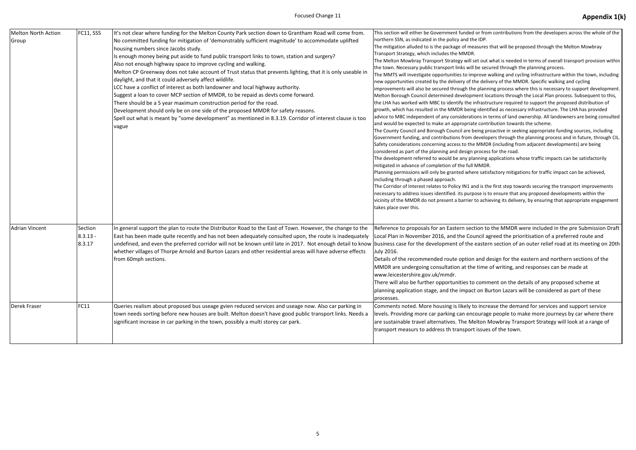| <b>Melton North Action</b><br>Group | FC11, SS5   | It's not clear where funding for the Melton County Park section down to Grantham Road will come from.<br>No committed funding for mitigation of 'demonstrably sufficient magnitude' to accommodate uplifted<br>housing numbers since Jacobs study.<br>Is enough money being put aside to fund public transport links to town, station and surgery?<br>Also not enough highway space to improve cycling and walking.<br>Melton CP Greenway does not take account of Trust status that prevents lighting, that it is only useable in<br>daylight, and that it could adversely affect wildlife.<br>LCC have a conflict of interest as both landowner and local highway authority.<br>Suggest a loan to cover MCP section of MMDR, to be repaid as devts come forward.<br>There should be a 5 year maximum construction period for the road.<br>Development should only be on one side of the proposed MMDR for safety reasons.<br>Spell out what is meant by "some development" as mentioned in 8.3.19. Corridor of interest clause is too<br>vague | This section will either be Government funded or fron<br>northern SSN, as indicated in the policy and the IDP.<br>The mitigation alluded to is the package of measures t<br>Transport Strategy, which includes the MMDR.<br>The Melton Mowbray Transport Strategy will set out v<br>the town. Necessary public transport links will be secu<br>The MMTS will investigate opportunities to improve w<br>new opportunities created by the delivery of the deliv<br>improvements will also be secured through the planni<br>Melton Borough Council determined development loc<br>the LHA has worked with MBC to identify the infrastru<br>growth, which has resulted in the MMDR being identi<br>advice to MBC independent of any considerations in t<br>and would be expected to make an appropriate contr<br>The County Council and Borough Council are being pro<br>Government funding, and contributions from develop<br>Safety considerations concerning access to the MMDF<br>considered as part of the planning and design process<br>The development referred to would be any planning a<br>mitigated in advance of completion of the full MMDR.<br>Planning permissions will only be granted where satist<br>including through a phased approach.<br>The Corridor of Interest relates to Policy IN1 and is the<br>necessary to address issues identified. its purpose is to<br>vicinity of the MMDR do not present a barrier to achie<br>takes place over this. |
|-------------------------------------|-------------|--------------------------------------------------------------------------------------------------------------------------------------------------------------------------------------------------------------------------------------------------------------------------------------------------------------------------------------------------------------------------------------------------------------------------------------------------------------------------------------------------------------------------------------------------------------------------------------------------------------------------------------------------------------------------------------------------------------------------------------------------------------------------------------------------------------------------------------------------------------------------------------------------------------------------------------------------------------------------------------------------------------------------------------------------|-----------------------------------------------------------------------------------------------------------------------------------------------------------------------------------------------------------------------------------------------------------------------------------------------------------------------------------------------------------------------------------------------------------------------------------------------------------------------------------------------------------------------------------------------------------------------------------------------------------------------------------------------------------------------------------------------------------------------------------------------------------------------------------------------------------------------------------------------------------------------------------------------------------------------------------------------------------------------------------------------------------------------------------------------------------------------------------------------------------------------------------------------------------------------------------------------------------------------------------------------------------------------------------------------------------------------------------------------------------------------------------------------------------------------------------------------------------------------|
|                                     |             |                                                                                                                                                                                                                                                                                                                                                                                                                                                                                                                                                                                                                                                                                                                                                                                                                                                                                                                                                                                                                                                  |                                                                                                                                                                                                                                                                                                                                                                                                                                                                                                                                                                                                                                                                                                                                                                                                                                                                                                                                                                                                                                                                                                                                                                                                                                                                                                                                                                                                                                                                       |
| Derek Fraser                        | <b>FC11</b> | Queries realism about proposed bus useage gvien reduced services and useage now. Also car parking in<br>town needs sorting before new houses are built. Melton doesn't have good public transport links. Needs a<br>significant increase in car parking in the town, possibly a multi storey car park.                                                                                                                                                                                                                                                                                                                                                                                                                                                                                                                                                                                                                                                                                                                                           | Comments noted. More housing is likely to incre<br>levels. Providing more car parking can encourage<br>are sustainable travel alternatives. The Melton N<br>transport measurs to address th transport issues                                                                                                                                                                                                                                                                                                                                                                                                                                                                                                                                                                                                                                                                                                                                                                                                                                                                                                                                                                                                                                                                                                                                                                                                                                                          |

or from contributions from the developers across the whole of the

sures that will be proposed through the Melton Mowbray

t out what is needed in terms of overall transport provision within the secured through the planning process.

rove walking and cycling infrastructure within the town, including e delivery of the MMDR. Specific walking and cycling

planning process where this is necessary to support development. ent locations through the Local Plan process. Subsequent to this,

frastructure required to support the proposed distribution of identified as necessary infrastructure. The LHA has provided ans in terms of land ownership. All landowners are being consulted

contribution towards the scheme.

eing proactive in seeking appropriate funding sources, including evelopers through the planning process and in future, through CIL. MMDR (including from adjacent developments) are being rocess for the road.

Ining applications whose traffic impacts can be satisfactorily

satisfactory mitigations for traffic impact can be achieved,

I is the first step towards securing the transport improvements se is to ensure that any proposed developments within the achieving its delivery, by ensuring that appropriate engagement

ion to the MMDR were included in the pre Submission Draft ncil agreed the prioritisation of a preferred route and buside is astern section of an outer relief road at its meeting on 20th

and design for the eastern and northern sections of the time of writing, and responses can be made at

comment on the details of any proposed scheme at on Burton Lazars will be considered as part of these

increase the demand for services and support service burage people to make more journeys by car where there lton Mowbray Transport Strategy will look at a range of issues of the town.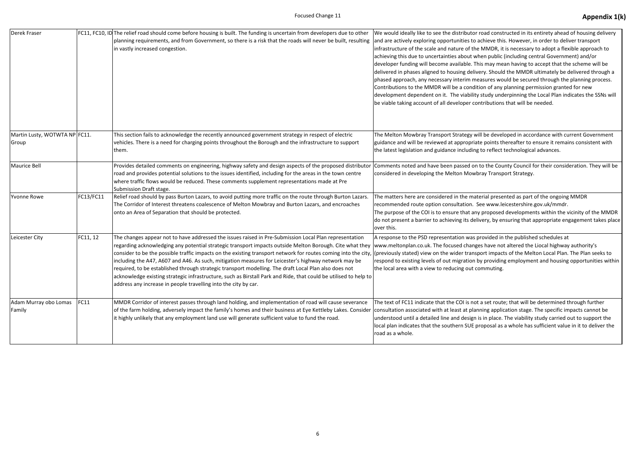| Derek Fraser                           |           | FC11, FC10, ID The relief road should come before housing is built. The funding is uncertain from developers due to other<br>planning requirements, and from Government, so there is a risk that the roads will never be built, resulting<br>in vastly increased congestion.                                                                                                                                                                                                                                                                                                                                                                                                                                                                                                              | We would ideally like to see the distributor<br>and are actively exploring opportunities to a<br>infrastructure of the scale and nature of the<br>achieving this due to uncertainties about wl<br>developer funding will become available. Th<br>delivered in phases aligned to housing deliv<br>phased approach, any necessary interim me<br>Contributions to the MMDR will be a condit<br>development dependent on it. The viability<br>be viable taking account of all developer co |
|----------------------------------------|-----------|-------------------------------------------------------------------------------------------------------------------------------------------------------------------------------------------------------------------------------------------------------------------------------------------------------------------------------------------------------------------------------------------------------------------------------------------------------------------------------------------------------------------------------------------------------------------------------------------------------------------------------------------------------------------------------------------------------------------------------------------------------------------------------------------|----------------------------------------------------------------------------------------------------------------------------------------------------------------------------------------------------------------------------------------------------------------------------------------------------------------------------------------------------------------------------------------------------------------------------------------------------------------------------------------|
| Martin Lusty, WOTWTA NP FC11.<br>Group |           | This section fails to acknowledge the recently announced government strategy in respect of electric<br>vehicles. There is a need for charging points throughout the Borough and the infrastructure to support<br>them.                                                                                                                                                                                                                                                                                                                                                                                                                                                                                                                                                                    | The Melton Mowbray Transport Strategy w<br>guidance and will be reviewed at appropriat<br>the latest legislation and guidance including                                                                                                                                                                                                                                                                                                                                                |
| <b>Maurice Bell</b>                    |           | Provides detailed comments on engineering, highway safety and design aspects of the proposed distributor<br>road and provides potential solutions to the issues identified, including for the areas in the town centre<br>where traffic flows would be reduced. These comments supplement representations made at Pre<br>Submission Draft stage.                                                                                                                                                                                                                                                                                                                                                                                                                                          | Comments noted and have been passed on<br>considered in developing the Melton Mowb                                                                                                                                                                                                                                                                                                                                                                                                     |
| Yvonne Rowe                            | FC13/FC11 | Relief road should by pass Burton Lazars, to avoid putting more traffic on the route through Burton Lazars.<br>The Corridor of Interest threatens coalescence of Melton Mowbray and Burton Lazars, and encroaches<br>onto an Area of Separation that should be protected.                                                                                                                                                                                                                                                                                                                                                                                                                                                                                                                 | The matters here are considered in the mat<br>recommended route option consultation. S<br>The purpose of the COI is to ensure that any<br>do not present a barrier to achieving its deli<br>over this.                                                                                                                                                                                                                                                                                 |
| Leicester City                         | FC11, 12  | The changes appear not to have addressed the issues raised in Pre-Submission Local Plan representation<br>regarding acknowledging any potential strategic transport impacts outside Melton Borough. Cite what they<br>consider to be the possible traffic impacts on the existing transport network for routes coming into the city, (previously stated) view on the wider transp<br>including the A47, A607 and A46. As such, mitigation measures for Leicester's highway network may be<br>required, to be established through strategic transport modelling. The draft Local Plan also does not<br>acknowledge existing strategic infrastructure, such as Birstall Park and Ride, that could be utilised to help to<br>address any increase in people travelling into the city by car. | A response to the PSD representation was p<br>www.meltonplan.co.uk. The focused change<br>respond to existing levels of out migration b<br>the local area with a view to reducing out co                                                                                                                                                                                                                                                                                               |
| Adam Murray obo Lomas<br>Family        | FC11      | MMDR Corridor of interest passes through land holding, and implementation of road will cause severance<br>of the farm holding, adversely impact the family's homes and their business at Eye Kettleby Lakes. Consider<br>it highly unlikely that any employment land use will generate sufficient value to fund the road.                                                                                                                                                                                                                                                                                                                                                                                                                                                                 | The text of FC11 indicate that the COI is not<br>consultation associated with at least at plan<br>understood until a detailed line and design<br>local plan indicates that the southern SUE p<br>road as a whole.                                                                                                                                                                                                                                                                      |

road constructed in its entirety ahead of housing delivery achieve this. However, in order to deliver transport If MMDR, it is necessary to adopt a flexible approach to hen public (including central Government) and/or his may mean having to accept that the scheme will be very. Should the MMDR ultimately be delivered through a easures would be secured through the planning process. tion of any planning permission granted for new study underpinning the Local Plan indicates the SSNs will ntributions that will be needed.

ill be developed in accordance with current Government te points thereafter to ensure it remains consistent with to reflect technological advances.

to the County Council for their consideration. They will be oray Transport Strategy.

terial presented as part of the ongoing MMDR Gee www.leicestershire.gov.uk/mmdr. y proposed developments within the vicinity of the MMDR ivery, by ensuring that appropriate engagement takes place

provided in the published schedules at es have not altered the Liocal highway authority's port impacts of the Melton Local Plan. The Plan seeks to by providing employment and housing opportunities within ommuting.

a set route; that will be determined through further ining application stage. The specific impacts cannot be is in place. The viability study carried out to support the roposal as a whole has sufficient value in it to deliver the